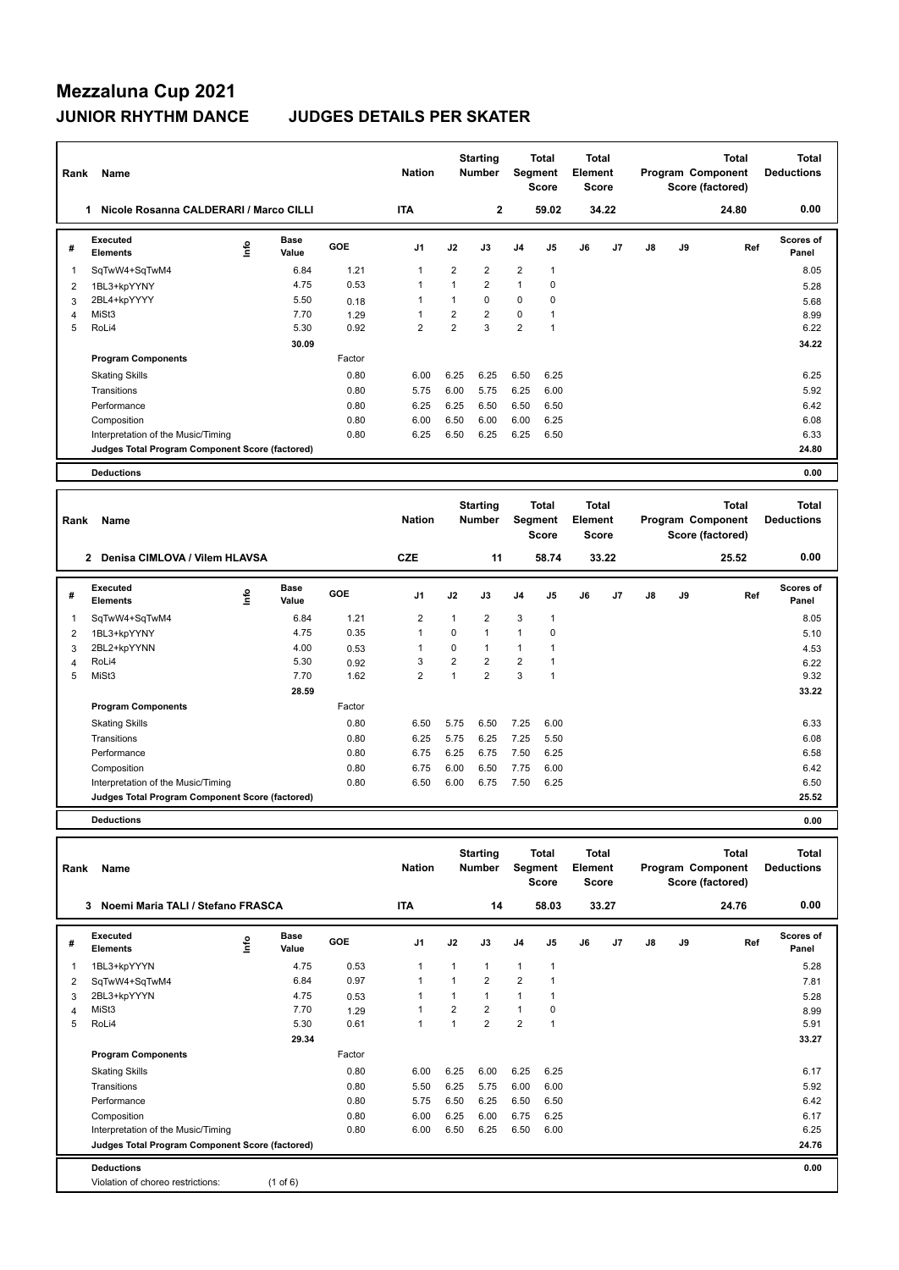# **Mezzaluna Cup 2021**

### **JUNIOR RHYTHM DANCE JUDGES DETAILS PER SKATER**

| Rank         | Name                                            |             |                      |        | <b>Nation</b>  |                | <b>Starting</b><br><b>Number</b> |                | <b>Total</b><br>Segment<br><b>Score</b> | <b>Total</b><br><b>Element</b><br><b>Score</b> |                |               |    | <b>Total</b><br>Program Component<br>Score (factored) | <b>Total</b><br><b>Deductions</b> |
|--------------|-------------------------------------------------|-------------|----------------------|--------|----------------|----------------|----------------------------------|----------------|-----------------------------------------|------------------------------------------------|----------------|---------------|----|-------------------------------------------------------|-----------------------------------|
|              | Nicole Rosanna CALDERARI / Marco CILLI<br>1.    |             |                      |        | <b>ITA</b>     |                | $\overline{2}$                   |                | 59.02                                   |                                                | 34.22          |               |    | 24.80                                                 | 0.00                              |
| #            | Executed<br><b>Elements</b>                     | <u>lnfo</u> | <b>Base</b><br>Value | GOE    | J <sub>1</sub> | J2             | J3                               | J4             | J <sub>5</sub>                          | J6                                             | J <sub>7</sub> | $\mathsf{J}8$ | J9 | Ref                                                   | <b>Scores of</b><br>Panel         |
| $\mathbf{1}$ | SqTwW4+SqTwM4                                   |             | 6.84                 | 1.21   | $\overline{1}$ | $\overline{2}$ | $\overline{2}$                   | $\overline{2}$ | $\mathbf{1}$                            |                                                |                |               |    |                                                       | 8.05                              |
| 2            | 1BL3+kpYYNY                                     |             | 4.75                 | 0.53   | $\overline{1}$ | 1              | $\overline{2}$                   | $\mathbf{1}$   | $\mathbf 0$                             |                                                |                |               |    |                                                       | 5.28                              |
| 3            | 2BL4+kpYYYY                                     |             | 5.50                 | 0.18   | 1              | 1              | $\Omega$                         | 0              | 0                                       |                                                |                |               |    |                                                       | 5.68                              |
| 4            | MiSt3                                           |             | 7.70                 | 1.29   | $\overline{1}$ | $\overline{2}$ | $\overline{2}$                   | 0              | 1                                       |                                                |                |               |    |                                                       | 8.99                              |
| 5            | RoLi4                                           |             | 5.30                 | 0.92   | $\overline{2}$ | $\overline{2}$ | 3                                | $\overline{2}$ | $\overline{1}$                          |                                                |                |               |    |                                                       | 6.22                              |
|              |                                                 |             | 30.09                |        |                |                |                                  |                |                                         |                                                |                |               |    |                                                       | 34.22                             |
|              | <b>Program Components</b>                       |             |                      | Factor |                |                |                                  |                |                                         |                                                |                |               |    |                                                       |                                   |
|              | <b>Skating Skills</b>                           |             |                      | 0.80   | 6.00           | 6.25           | 6.25                             | 6.50           | 6.25                                    |                                                |                |               |    |                                                       | 6.25                              |
|              | Transitions                                     |             |                      | 0.80   | 5.75           | 6.00           | 5.75                             | 6.25           | 6.00                                    |                                                |                |               |    |                                                       | 5.92                              |
|              | Performance                                     |             |                      | 0.80   | 6.25           | 6.25           | 6.50                             | 6.50           | 6.50                                    |                                                |                |               |    |                                                       | 6.42                              |
|              | Composition                                     |             |                      | 0.80   | 6.00           | 6.50           | 6.00                             | 6.00           | 6.25                                    |                                                |                |               |    |                                                       | 6.08                              |
|              | Interpretation of the Music/Timing              |             |                      | 0.80   | 6.25           | 6.50           | 6.25                             | 6.25           | 6.50                                    |                                                |                |               |    |                                                       | 6.33                              |
|              | Judges Total Program Component Score (factored) |             |                      |        |                |                |                                  |                |                                         |                                                |                |               |    |                                                       | 24.80                             |
|              | <b>Deductions</b>                               |             |                      |        |                |                |                                  |                |                                         |                                                |                |               |    |                                                       | 0.00                              |
|              |                                                 |             |                      |        |                |                |                                  |                |                                         |                                                |                |               |    |                                                       |                                   |
| Rank         | Name                                            |             |                      |        | <b>Nation</b>  |                | <b>Starting</b><br><b>Number</b> |                | <b>Total</b><br>Segment<br><b>Score</b> | <b>Total</b><br>Element<br><b>Score</b>        |                |               |    | <b>Total</b><br>Program Component<br>Score (factored) | <b>Total</b><br><b>Deductions</b> |
|              | Denisa CIMLOVA / Vilem HLAVSA<br>$\overline{2}$ |             |                      |        | <b>CZE</b>     |                | 11                               |                | 58.74                                   |                                                | 33.22          |               |    | 25.52                                                 | 0.00                              |

| # | Executed<br><b>Elements</b>                     | ١nf٥ | Base<br>Value | <b>GOE</b> | J <sub>1</sub> | J2             | J3             | J <sub>4</sub> | J5                      | J6 | J7 | J8 | J9 | Ref | <b>Scores of</b><br>Panel |
|---|-------------------------------------------------|------|---------------|------------|----------------|----------------|----------------|----------------|-------------------------|----|----|----|----|-----|---------------------------|
|   | SqTwW4+SqTwM4                                   |      | 6.84          | 1.21       | $\overline{2}$ |                | $\overline{2}$ | 3              | $\overline{\mathbf{1}}$ |    |    |    |    |     | 8.05                      |
| 2 | 1BL3+kpYYNY                                     |      | 4.75          | 0.35       | 1              | $\Omega$       |                | $\mathbf{1}$   | 0                       |    |    |    |    |     | 5.10                      |
| 3 | 2BL2+kpYYNN                                     |      | 4.00          | 0.53       |                | 0              | $\mathbf 1$    | 1              | ٠                       |    |    |    |    |     | 4.53                      |
| 4 | RoLi4                                           |      | 5.30          | 0.92       | 3              | $\overline{2}$ | $\overline{2}$ | $\overline{2}$ | ٠                       |    |    |    |    |     | 6.22                      |
| 5 | MiSt3                                           |      | 7.70          | 1.62       | $\overline{2}$ | $\overline{1}$ | $\overline{2}$ | 3              | 1                       |    |    |    |    |     | 9.32                      |
|   |                                                 |      | 28.59         |            |                |                |                |                |                         |    |    |    |    |     | 33.22                     |
|   | <b>Program Components</b>                       |      |               | Factor     |                |                |                |                |                         |    |    |    |    |     |                           |
|   | <b>Skating Skills</b>                           |      |               | 0.80       | 6.50           | 5.75           | 6.50           | 7.25           | 6.00                    |    |    |    |    |     | 6.33                      |
|   | Transitions                                     |      |               | 0.80       | 6.25           | 5.75           | 6.25           | 7.25           | 5.50                    |    |    |    |    |     | 6.08                      |
|   | Performance                                     |      |               | 0.80       | 6.75           | 6.25           | 6.75           | 7.50           | 6.25                    |    |    |    |    |     | 6.58                      |
|   | Composition                                     |      |               | 0.80       | 6.75           | 6.00           | 6.50           | 7.75           | 6.00                    |    |    |    |    |     | 6.42                      |
|   | Interpretation of the Music/Timing              |      |               | 0.80       | 6.50           | 6.00           | 6.75           | 7.50           | 6.25                    |    |    |    |    |     | 6.50                      |
|   | Judges Total Program Component Score (factored) |      |               |            |                |                |                |                |                         |    |    |    |    |     | 25.52                     |

**Deductions 0.00**

| Rank | Name                                            |                            | <b>Nation</b> |                | <b>Starting</b><br><b>Number</b> | Segment        | <b>Total</b><br>Score | <b>Total</b><br>Element<br>Score |    |                |    | <b>Total</b><br>Program Component<br>Score (factored) | <b>Total</b><br><b>Deductions</b> |                    |
|------|-------------------------------------------------|----------------------------|---------------|----------------|----------------------------------|----------------|-----------------------|----------------------------------|----|----------------|----|-------------------------------------------------------|-----------------------------------|--------------------|
|      | Noemi Maria TALI / Stefano FRASCA<br>3          |                            |               | <b>ITA</b>     |                                  | 14             |                       | 58.03                            |    | 33.27          |    |                                                       | 24.76                             | 0.00               |
| #    | Executed<br><b>Elements</b>                     | <b>Base</b><br>١m<br>Value | GOE           | J <sub>1</sub> | J2                               | J3             | J <sub>4</sub>        | J <sub>5</sub>                   | J6 | J <sub>7</sub> | J8 | J9                                                    | Ref                               | Scores of<br>Panel |
| 1    | 1BL3+kpYYYN                                     | 4.75                       | 0.53          | 1              | 1                                | 1              | $\mathbf{1}$          | $\mathbf{1}$                     |    |                |    |                                                       |                                   | 5.28               |
| 2    | SqTwW4+SqTwM4                                   | 6.84                       | 0.97          | $\mathbf{1}$   |                                  | $\overline{2}$ | 2                     |                                  |    |                |    |                                                       |                                   | 7.81               |
| 3    | 2BL3+kpYYYN                                     | 4.75                       | 0.53          | 1              |                                  | 1              | $\mathbf{1}$          |                                  |    |                |    |                                                       |                                   | 5.28               |
| 4    | MiSt <sub>3</sub>                               | 7.70                       | 1.29          | $\mathbf{1}$   | $\overline{2}$                   | $\overline{2}$ | $\mathbf{1}$          | 0                                |    |                |    |                                                       |                                   | 8.99               |
| 5    | RoLi4                                           | 5.30                       | 0.61          | $\mathbf{1}$   | $\overline{ }$                   | $\overline{2}$ | $\overline{2}$        | $\overline{1}$                   |    |                |    |                                                       |                                   | 5.91               |
|      |                                                 | 29.34                      |               |                |                                  |                |                       |                                  |    |                |    |                                                       |                                   | 33.27              |
|      | <b>Program Components</b>                       |                            | Factor        |                |                                  |                |                       |                                  |    |                |    |                                                       |                                   |                    |
|      | <b>Skating Skills</b>                           |                            | 0.80          | 6.00           | 6.25                             | 6.00           | 6.25                  | 6.25                             |    |                |    |                                                       |                                   | 6.17               |
|      | Transitions                                     |                            | 0.80          | 5.50           | 6.25                             | 5.75           | 6.00                  | 6.00                             |    |                |    |                                                       |                                   | 5.92               |
|      | Performance                                     |                            | 0.80          | 5.75           | 6.50                             | 6.25           | 6.50                  | 6.50                             |    |                |    |                                                       |                                   | 6.42               |
|      | Composition                                     |                            | 0.80          | 6.00           | 6.25                             | 6.00           | 6.75                  | 6.25                             |    |                |    |                                                       |                                   | 6.17               |
|      | Interpretation of the Music/Timing              |                            | 0.80          | 6.00           | 6.50                             | 6.25           | 6.50                  | 6.00                             |    |                |    |                                                       |                                   | 6.25               |
|      | Judges Total Program Component Score (factored) |                            |               |                |                                  |                |                       |                                  |    |                |    |                                                       |                                   | 24.76              |
|      | <b>Deductions</b>                               |                            |               |                |                                  |                |                       |                                  |    |                |    |                                                       |                                   | 0.00               |
|      | Violation of choreo restrictions:               | $(1$ of $6)$               |               |                |                                  |                |                       |                                  |    |                |    |                                                       |                                   |                    |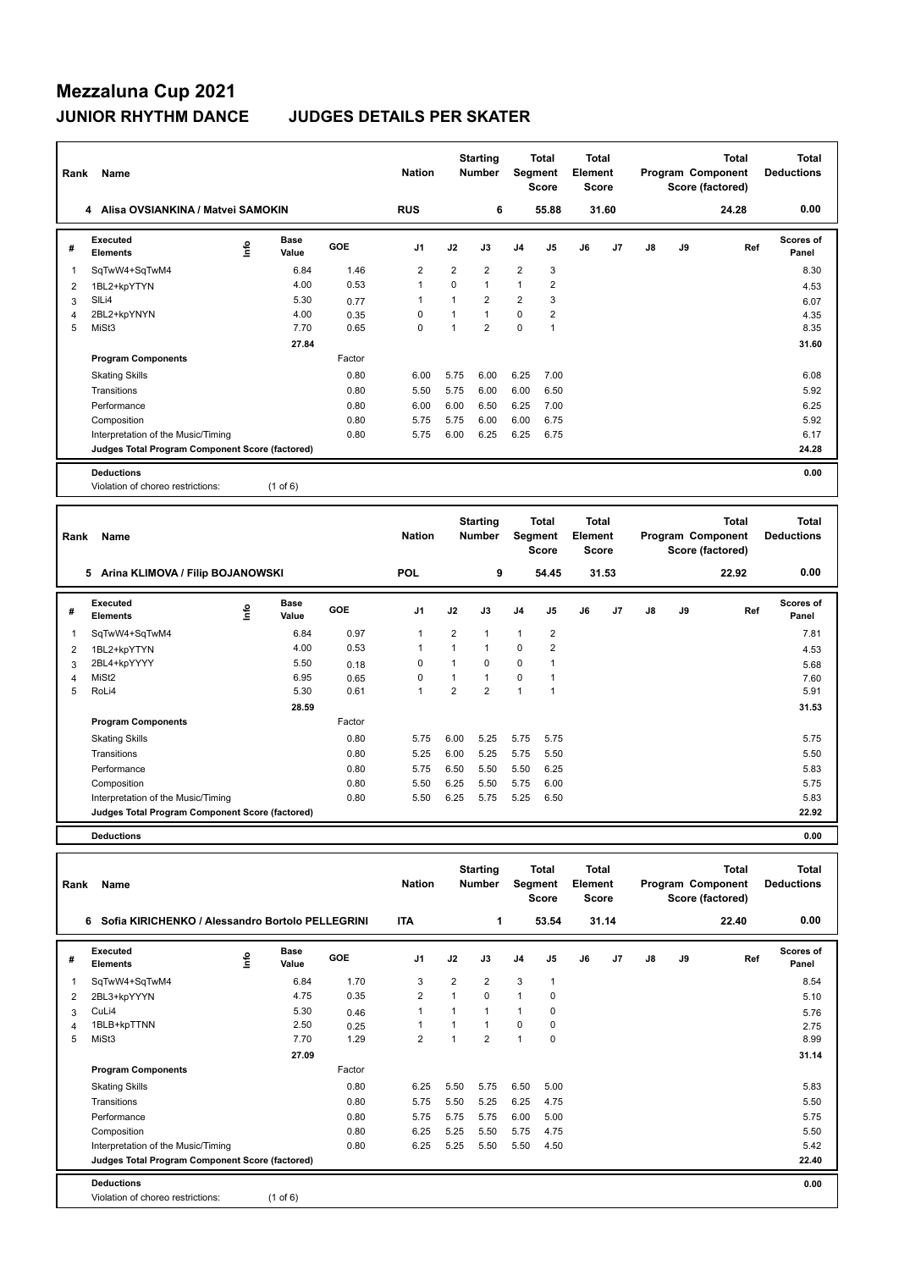## **Mezzaluna Cup 2021 JUNIOR RHYTHM DANCE JUDGES DETAILS PER SKATER**

| Rank           | Name                                                                                  |      |               |              | <b>Nation</b>       |                                | <b>Starting</b><br>Number        |                   | <b>Total</b><br>Segment<br><b>Score</b> | <b>Total</b><br><b>Element</b><br><b>Score</b> |       |    |    | Total<br>Program Component<br>Score (factored) | <b>Total</b><br><b>Deductions</b> |
|----------------|---------------------------------------------------------------------------------------|------|---------------|--------------|---------------------|--------------------------------|----------------------------------|-------------------|-----------------------------------------|------------------------------------------------|-------|----|----|------------------------------------------------|-----------------------------------|
|                | 4 Alisa OVSIANKINA / Matvei SAMOKIN                                                   |      |               |              | <b>RUS</b>          |                                | 6                                |                   | 55.88                                   |                                                | 31.60 |    |    | 24.28                                          | 0.00                              |
| #              | <b>Executed</b><br><b>Elements</b>                                                    | ١nf٥ | Base<br>Value | GOE          | J1                  | J2                             | J3                               | J4                | J5                                      | J6                                             | J7    | J8 | J9 | Ref                                            | <b>Scores of</b><br>Panel         |
| 1              | SqTwW4+SqTwM4                                                                         |      | 6.84          | 1.46         | $\overline{2}$      | $\overline{2}$                 | 2                                | $\overline{2}$    | 3                                       |                                                |       |    |    |                                                | 8.30                              |
| 2              | 1BL2+kpYTYN                                                                           |      | 4.00          | 0.53         | $\mathbf{1}$        | $\mathbf 0$                    | $\mathbf{1}$                     | $\mathbf{1}$      | $\overline{2}$                          |                                                |       |    |    |                                                | 4.53                              |
| 3              | SIL <sub>i4</sub>                                                                     |      | 5.30          | 0.77         | 1                   | 1                              | 2                                | $\overline{2}$    | 3                                       |                                                |       |    |    |                                                | 6.07                              |
| 4              | 2BL2+kpYNYN                                                                           |      | 4.00          | 0.35         | 0                   | $\mathbf{1}$                   | $\mathbf{1}$                     | $\pmb{0}$         | $\overline{2}$                          |                                                |       |    |    |                                                | 4.35                              |
| 5              | MiSt3                                                                                 |      | 7.70          | 0.65         | $\mathbf 0$         | $\mathbf{1}$                   | $\overline{2}$                   | $\pmb{0}$         | $\mathbf{1}$                            |                                                |       |    |    |                                                | 8.35                              |
|                |                                                                                       |      | 27.84         |              |                     |                                |                                  |                   |                                         |                                                |       |    |    |                                                | 31.60                             |
|                | <b>Program Components</b>                                                             |      |               | Factor       |                     |                                |                                  |                   |                                         |                                                |       |    |    |                                                |                                   |
|                | <b>Skating Skills</b>                                                                 |      |               | 0.80         | 6.00                | 5.75                           | 6.00                             | 6.25              | 7.00                                    |                                                |       |    |    |                                                | 6.08                              |
|                | Transitions                                                                           |      |               | 0.80         | 5.50                | 5.75                           | 6.00                             | 6.00              | 6.50                                    |                                                |       |    |    |                                                | 5.92                              |
|                | Performance                                                                           |      |               | 0.80         | 6.00                | 6.00                           | 6.50                             | 6.25              | 7.00                                    |                                                |       |    |    |                                                | 6.25                              |
|                | Composition                                                                           |      |               | 0.80<br>0.80 | 5.75                | 5.75                           | 6.00                             | 6.00              | 6.75                                    |                                                |       |    |    |                                                | 5.92<br>6.17                      |
|                | Interpretation of the Music/Timing<br>Judges Total Program Component Score (factored) |      |               |              | 5.75                | 6.00                           | 6.25                             | 6.25              | 6.75                                    |                                                |       |    |    |                                                | 24.28                             |
|                |                                                                                       |      |               |              |                     |                                |                                  |                   |                                         |                                                |       |    |    |                                                |                                   |
|                | <b>Deductions</b><br>Violation of choreo restrictions:                                |      | $(1$ of 6)    |              |                     |                                |                                  |                   |                                         |                                                |       |    |    |                                                | 0.00                              |
|                |                                                                                       |      |               |              |                     |                                |                                  |                   |                                         |                                                |       |    |    |                                                |                                   |
| Rank           | Name                                                                                  |      |               |              | <b>Nation</b>       |                                | <b>Starting</b><br><b>Number</b> |                   | <b>Total</b><br>Segment<br>Score        | <b>Total</b><br>Element<br><b>Score</b>        |       |    |    | Total<br>Program Component<br>Score (factored) | <b>Total</b><br><b>Deductions</b> |
|                | 5 Arina KLIMOVA / Filip BOJANOWSKI                                                    |      |               |              | <b>POL</b>          |                                | 9                                |                   | 54.45                                   |                                                | 31.53 |    |    | 22.92                                          | 0.00                              |
|                | Executed                                                                              |      | <b>Base</b>   |              |                     |                                |                                  |                   |                                         |                                                |       |    |    |                                                | <b>Scores of</b>                  |
| #              | <b>Elements</b>                                                                       | ١mfo | Value         | GOE          | J1                  | J2                             | J3                               | J <sub>4</sub>    | J5                                      | J6                                             | J7    | J8 | J9 | Ref                                            | Panel                             |
| 1              | SqTwW4+SqTwM4                                                                         |      | 6.84          | 0.97         | $\mathbf{1}$        | $\overline{2}$                 | 1                                | $\mathbf{1}$      | $\overline{2}$                          |                                                |       |    |    |                                                | 7.81                              |
| $\overline{c}$ | 1BL2+kpYTYN                                                                           |      | 4.00          | 0.53         | $\mathbf{1}$        | $\mathbf{1}$                   | $\mathbf{1}$                     | $\pmb{0}$         | $\overline{\mathbf{c}}$                 |                                                |       |    |    |                                                | 4.53                              |
| 3              | 2BL4+kpYYYY                                                                           |      | 5.50          | 0.18         | $\mathbf 0$         | $\mathbf{1}$                   | 0                                | $\mathbf 0$       | 1                                       |                                                |       |    |    |                                                | 5.68                              |
| 4              | MiSt <sub>2</sub>                                                                     |      | 6.95          | 0.65         | $\mathbf 0$         | $\mathbf{1}$                   | $\mathbf{1}$                     | $\pmb{0}$         | $\mathbf{1}$                            |                                                |       |    |    |                                                | 7.60                              |
| 5              | RoLi4                                                                                 |      | 5.30          | 0.61         | $\mathbf{1}$        | $\overline{2}$                 | $\overline{2}$                   | $\mathbf{1}$      | $\mathbf{1}$                            |                                                |       |    |    |                                                | 5.91                              |
|                |                                                                                       |      | 28.59         |              |                     |                                |                                  |                   |                                         |                                                |       |    |    |                                                | 31.53                             |
|                | <b>Program Components</b>                                                             |      |               | Factor       |                     |                                |                                  |                   |                                         |                                                |       |    |    |                                                |                                   |
|                | <b>Skating Skills</b>                                                                 |      |               | 0.80         | 5.75                | 6.00                           | 5.25                             | 5.75              | 5.75                                    |                                                |       |    |    |                                                | 5.75                              |
|                | Transitions                                                                           |      |               | 0.80         | 5.25                | 6.00                           | 5.25                             | 5.75              | 5.50                                    |                                                |       |    |    |                                                | 5.50                              |
|                | Performance                                                                           |      |               | 0.80         | 5.75                | 6.50                           | 5.50                             | 5.50              | 6.25                                    |                                                |       |    |    |                                                | 5.83                              |
|                | Composition                                                                           |      |               | 0.80         | 5.50                | 6.25                           | 5.50                             | 5.75              | 6.00                                    |                                                |       |    |    |                                                | 5.75                              |
|                | Interpretation of the Music/Timing                                                    |      |               | 0.80         | 5.50                | 6.25                           | 5.75                             | 5.25              | 6.50                                    |                                                |       |    |    |                                                | 5.83                              |
|                | Judges Total Program Component Score (factored)                                       |      |               |              |                     |                                |                                  |                   |                                         |                                                |       |    |    |                                                | 22.92                             |
|                | <b>Deductions</b>                                                                     |      |               |              |                     |                                |                                  |                   |                                         |                                                |       |    |    |                                                | 0.00                              |
|                |                                                                                       |      |               |              |                     |                                |                                  |                   |                                         |                                                |       |    |    |                                                |                                   |
| Rank           | Name                                                                                  |      |               |              | <b>Nation</b>       |                                | <b>Starting</b><br>Number        |                   | <b>Total</b><br>Segment<br><b>Score</b> | Total<br>Element<br><b>Score</b>               |       |    |    | Total<br>Program Component<br>Score (factored) | <b>Total</b><br><b>Deductions</b> |
|                | 6 Sofia KIRICHENKO / Alessandro Bortolo PELLEGRINI                                    |      |               |              | <b>ITA</b>          |                                | 1                                |                   | 53.54                                   |                                                | 31.14 |    |    | 22.40                                          | 0.00                              |
| #              | Executed<br><b>Elements</b>                                                           | ١nf٥ | Base<br>Value | GOE          | J1                  | J2                             | J3                               | J4                | J5                                      | J6                                             | J7    | J8 | J9 | Ref                                            | Scores of<br>Panel                |
|                |                                                                                       |      |               |              |                     |                                |                                  |                   |                                         |                                                |       |    |    |                                                |                                   |
| 1              | SqTwW4+SqTwM4                                                                         |      | 6.84<br>4.75  | 1.70<br>0.35 | 3<br>$\overline{2}$ | $\overline{2}$<br>$\mathbf{1}$ | $\overline{2}$<br>0              | 3<br>$\mathbf{1}$ | $\mathbf{1}$<br>$\mathbf 0$             |                                                |       |    |    |                                                | 8.54                              |
| 2<br>3         | 2BL3+kpYYYN<br>CuLi4                                                                  |      | 5.30          | 0.46         | $\mathbf{1}$        | $\mathbf{1}$                   | $\mathbf{1}$                     | $\mathbf{1}$      | 0                                       |                                                |       |    |    |                                                | 5.10<br>5.76                      |
| 4              | 1BLB+kpTTNN                                                                           |      | 2.50          | 0.25         | $\mathbf{1}$        | $\mathbf{1}$                   | $\mathbf{1}$                     | 0                 | 0                                       |                                                |       |    |    |                                                | 2.75                              |
| 5              | MiSt3                                                                                 |      | 7.70          | 1.29         | $\overline{2}$      | $\mathbf{1}$                   | $\overline{2}$                   | $\mathbf{1}$      | $\mathbf 0$                             |                                                |       |    |    |                                                | 8.99                              |
|                |                                                                                       |      | 27.09         |              |                     |                                |                                  |                   |                                         |                                                |       |    |    |                                                | 31.14                             |
|                | <b>Program Components</b>                                                             |      |               | Factor       |                     |                                |                                  |                   |                                         |                                                |       |    |    |                                                |                                   |
|                | <b>Skating Skills</b>                                                                 |      |               | 0.80         | 6.25                | 5.50                           | 5.75                             | 6.50              | 5.00                                    |                                                |       |    |    |                                                | 5.83                              |
|                | Transitions                                                                           |      |               | 0.80         | 5.75                | 5.50                           | 5.25                             | 6.25              | 4.75                                    |                                                |       |    |    |                                                | 5.50                              |
|                | Performance                                                                           |      |               | 0.80         | 5.75                | 5.75                           | 5.75                             | 6.00              | 5.00                                    |                                                |       |    |    |                                                | 5.75                              |
|                | Composition                                                                           |      |               | 0.80         | 6.25                | 5.25                           | 5.50                             | 5.75              | 4.75                                    |                                                |       |    |    |                                                | 5.50                              |
|                | Interpretation of the Music/Timing                                                    |      |               | 0.80         | 6.25                | 5.25                           | 5.50                             | 5.50              | 4.50                                    |                                                |       |    |    |                                                | 5.42                              |
|                | Judges Total Program Component Score (factored)                                       |      |               |              |                     |                                |                                  |                   |                                         |                                                |       |    |    |                                                | 22.40                             |
|                | <b>Deductions</b>                                                                     |      |               |              |                     |                                |                                  |                   |                                         |                                                |       |    |    |                                                | 0.00                              |
|                | Violation of choreo restrictions:                                                     |      | (1 of 6)      |              |                     |                                |                                  |                   |                                         |                                                |       |    |    |                                                |                                   |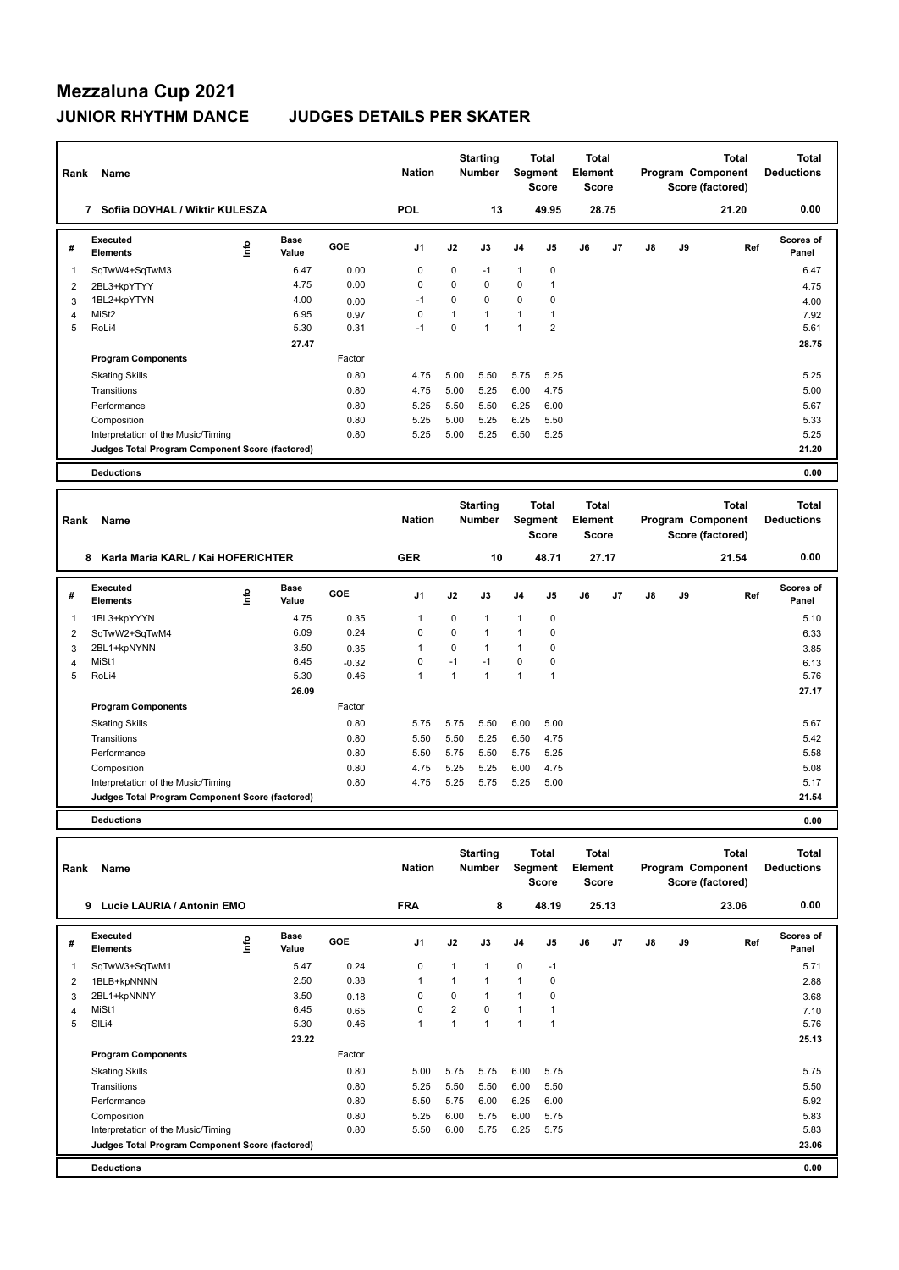# **Mezzaluna Cup 2021**

### **JUNIOR RHYTHM DANCE JUDGES DETAILS PER SKATER**

| Rank           | Name                                            |      |               |        | <b>Nation</b>  |              | <b>Starting</b><br><b>Number</b> |                | Total<br>Segment<br><b>Score</b>        | <b>Total</b><br>Element<br><b>Score</b> |                |               |    | <b>Total</b><br>Program Component<br>Score (factored) | <b>Total</b><br><b>Deductions</b> |
|----------------|-------------------------------------------------|------|---------------|--------|----------------|--------------|----------------------------------|----------------|-----------------------------------------|-----------------------------------------|----------------|---------------|----|-------------------------------------------------------|-----------------------------------|
|                | 7 Sofiia DOVHAL / Wiktir KULESZA                |      |               |        | <b>POL</b>     |              | 13                               |                | 49.95                                   | 28.75                                   |                |               |    | 21.20                                                 | 0.00                              |
| #              | <b>Executed</b><br><b>Elements</b>              | ١nfo | Base<br>Value | GOE    | J <sub>1</sub> | J2           | J3                               | J4             | J5                                      | J6                                      | J7             | $\mathsf{J}8$ | J9 | Ref                                                   | <b>Scores of</b><br>Panel         |
| $\overline{1}$ | SqTwW4+SqTwM3                                   |      | 6.47          | 0.00   | 0              | $\mathbf 0$  | $-1$                             | $\mathbf{1}$   | $\mathbf 0$                             |                                         |                |               |    |                                                       | 6.47                              |
| 2              | 2BL3+kpYTYY                                     |      | 4.75          | 0.00   | $\Omega$       | $\Omega$     | $\Omega$                         | $\mathbf 0$    | $\mathbf{1}$                            |                                         |                |               |    |                                                       | 4.75                              |
| 3              | 1BL2+kpYTYN                                     |      | 4.00          | 0.00   | $-1$           | $\Omega$     | $\Omega$                         | $\Omega$       | 0                                       |                                         |                |               |    |                                                       | 4.00                              |
| 4              | MiSt <sub>2</sub>                               |      | 6.95          | 0.97   | $\mathbf 0$    | $\mathbf{1}$ | 1                                | $\mathbf{1}$   | $\mathbf{1}$                            |                                         |                |               |    |                                                       | 7.92                              |
| 5              | RoLi4                                           |      | 5.30          | 0.31   | $-1$           | $\Omega$     | $\mathbf{1}$                     | $\mathbf{1}$   | $\overline{2}$                          |                                         |                |               |    |                                                       | 5.61                              |
|                |                                                 |      | 27.47         |        |                |              |                                  |                |                                         |                                         |                |               |    |                                                       | 28.75                             |
|                | <b>Program Components</b>                       |      |               | Factor |                |              |                                  |                |                                         |                                         |                |               |    |                                                       |                                   |
|                | <b>Skating Skills</b>                           |      |               | 0.80   | 4.75           | 5.00         | 5.50                             | 5.75           | 5.25                                    |                                         |                |               |    |                                                       | 5.25                              |
|                | Transitions                                     |      |               | 0.80   | 4.75           | 5.00         | 5.25                             | 6.00           | 4.75                                    |                                         |                |               |    |                                                       | 5.00                              |
|                | Performance                                     |      |               | 0.80   | 5.25           | 5.50         | 5.50                             | 6.25           | 6.00                                    |                                         |                |               |    |                                                       | 5.67                              |
|                | Composition                                     |      |               | 0.80   | 5.25           | 5.00         | 5.25                             | 6.25           | 5.50                                    |                                         |                |               |    |                                                       | 5.33                              |
|                | Interpretation of the Music/Timing              |      |               | 0.80   | 5.25           | 5.00         | 5.25                             | 6.50           | 5.25                                    |                                         |                |               |    |                                                       | 5.25                              |
|                | Judges Total Program Component Score (factored) |      |               |        |                |              |                                  |                |                                         |                                         |                |               |    |                                                       | 21.20                             |
|                | <b>Deductions</b>                               |      |               |        |                |              |                                  |                |                                         |                                         |                |               |    |                                                       | 0.00                              |
|                |                                                 |      |               |        |                |              |                                  |                |                                         |                                         |                |               |    |                                                       |                                   |
| Rank           | <b>Name</b>                                     |      |               |        | <b>Nation</b>  |              | <b>Starting</b><br><b>Number</b> |                | <b>Total</b><br>Segment<br><b>Score</b> | <b>Total</b><br>Element<br><b>Score</b> |                |               |    | <b>Total</b><br>Program Component<br>Score (factored) | <b>Total</b><br><b>Deductions</b> |
|                | Karla Maria KARL / Kai HOFERICHTER<br>8         |      |               |        | <b>GER</b>     |              | 10                               |                | 48.71                                   | 27.17                                   |                |               |    | 21.54                                                 | 0.00                              |
| #              | Executed<br><b>Elements</b>                     | ۴ů   | Base<br>Value | GOE    | J <sub>1</sub> | J2           | J3                               | J <sub>4</sub> | J5                                      | J6                                      | J <sub>7</sub> | J8            | J9 | Ref                                                   | <b>Scores of</b><br>Panel         |
| $\overline{1}$ | 1BL3+kpYYYN                                     |      | 4.75          | 0.35   | $\overline{1}$ | $\Omega$     | $\mathbf{1}$                     | $\mathbf{1}$   | $\pmb{0}$                               |                                         |                |               |    |                                                       | 5.10                              |
| 2              | SqTwW2+SqTwM4                                   |      | 6.09          | 0.24   | $\mathbf 0$    | $\Omega$     | $\mathbf{1}$                     | $\overline{1}$ | $\mathbf 0$                             |                                         |                |               |    |                                                       | 6.33                              |

|                | <b>Deductions</b>                               |       |         |      |      |      |      |          | 0.00  |
|----------------|-------------------------------------------------|-------|---------|------|------|------|------|----------|-------|
|                | Judges Total Program Component Score (factored) |       |         |      |      |      |      |          | 21.54 |
|                | Interpretation of the Music/Timing              |       | 0.80    | 4.75 | 5.25 | 5.75 | 5.25 | 5.00     | 5.17  |
|                | Composition                                     |       | 0.80    | 4.75 | 5.25 | 5.25 | 6.00 | 4.75     | 5.08  |
|                | Performance                                     |       | 0.80    | 5.50 | 5.75 | 5.50 | 5.75 | 5.25     | 5.58  |
|                | Transitions                                     |       | 0.80    | 5.50 | 5.50 | 5.25 | 6.50 | 4.75     | 5.42  |
|                | <b>Skating Skills</b>                           |       | 0.80    | 5.75 | 5.75 | 5.50 | 6.00 | 5.00     | 5.67  |
|                | <b>Program Components</b>                       |       | Factor  |      |      |      |      |          |       |
|                |                                                 | 26.09 |         |      |      |      |      |          | 27.17 |
| 5              | RoLi4                                           | 5.30  | 0.46    |      |      |      |      | 4        | 5.76  |
| 4              | MiSt1                                           | 6.45  | $-0.32$ | 0    | $-1$ | $-1$ | 0    | 0        | 6.13  |
| 3              | 2BL1+kpNYNN                                     | 3.50  | 0.35    |      | 0    |      |      | 0        | 3.85  |
| $\overline{2}$ | SqTwW2+SqTwM4                                   | 6.09  | 0.24    | 0    | 0    |      |      | $\Omega$ | 6.33  |
| 1              | 1BL3+kpYYYN                                     | 4.75  | 0.35    |      | 0    |      |      | 0        | 5.10  |

| Rank | Name<br>9<br>Lucie LAURIA / Antonin EMO         |    |                      |        | <b>Nation</b>  |                | <b>Starting</b><br><b>Number</b> | Segment        | <b>Total</b><br><b>Score</b> | <b>Total</b><br>Element<br><b>Score</b> |                |    |    | <b>Total</b><br>Program Component<br>Score (factored) | Total<br><b>Deductions</b> |
|------|-------------------------------------------------|----|----------------------|--------|----------------|----------------|----------------------------------|----------------|------------------------------|-----------------------------------------|----------------|----|----|-------------------------------------------------------|----------------------------|
|      |                                                 |    |                      |        | <b>FRA</b>     |                | 8                                |                | 48.19                        |                                         | 25.13          |    |    | 23.06                                                 | 0.00                       |
| #    | Executed<br><b>Elements</b>                     | ١m | <b>Base</b><br>Value | GOE    | J <sub>1</sub> | J2             | J3                               | J <sub>4</sub> | J <sub>5</sub>               | J6                                      | J <sub>7</sub> | J8 | J9 | Ref                                                   | Scores of<br>Panel         |
|      | SqTwW3+SqTwM1                                   |    | 5.47                 | 0.24   | $\mathbf 0$    |                | 1                                | $\mathbf 0$    | $-1$                         |                                         |                |    |    |                                                       | 5.71                       |
| 2    | 1BLB+kpNNNN                                     |    | 2.50                 | 0.38   | $\mathbf{1}$   |                | 1                                | $\mathbf{1}$   | 0                            |                                         |                |    |    |                                                       | 2.88                       |
| 3    | 2BL1+kpNNNY                                     |    | 3.50                 | 0.18   | 0              | 0              |                                  | $\mathbf{1}$   | 0                            |                                         |                |    |    |                                                       | 3.68                       |
| 4    | MiSt1                                           |    | 6.45                 | 0.65   | 0              | $\overline{2}$ | 0                                | $\mathbf{1}$   |                              |                                         |                |    |    |                                                       | 7.10                       |
| 5    | SILi4                                           |    | 5.30                 | 0.46   | $\mathbf{1}$   |                | 1                                | $\overline{1}$ | 1                            |                                         |                |    |    |                                                       | 5.76                       |
|      |                                                 |    | 23.22                |        |                |                |                                  |                |                              |                                         |                |    |    |                                                       | 25.13                      |
|      | <b>Program Components</b>                       |    |                      | Factor |                |                |                                  |                |                              |                                         |                |    |    |                                                       |                            |
|      | <b>Skating Skills</b>                           |    |                      | 0.80   | 5.00           | 5.75           | 5.75                             | 6.00           | 5.75                         |                                         |                |    |    |                                                       | 5.75                       |
|      | Transitions                                     |    |                      | 0.80   | 5.25           | 5.50           | 5.50                             | 6.00           | 5.50                         |                                         |                |    |    |                                                       | 5.50                       |
|      | Performance                                     |    |                      | 0.80   | 5.50           | 5.75           | 6.00                             | 6.25           | 6.00                         |                                         |                |    |    |                                                       | 5.92                       |
|      | Composition                                     |    |                      | 0.80   | 5.25           | 6.00           | 5.75                             | 6.00           | 5.75                         |                                         |                |    |    |                                                       | 5.83                       |
|      | Interpretation of the Music/Timing              |    |                      | 0.80   | 5.50           | 6.00           | 5.75                             | 6.25           | 5.75                         |                                         |                |    |    |                                                       | 5.83                       |
|      | Judges Total Program Component Score (factored) |    |                      |        |                |                |                                  |                |                              |                                         |                |    |    |                                                       | 23.06                      |
|      | <b>Deductions</b>                               |    |                      |        |                |                |                                  |                |                              |                                         |                |    |    |                                                       | 0.00                       |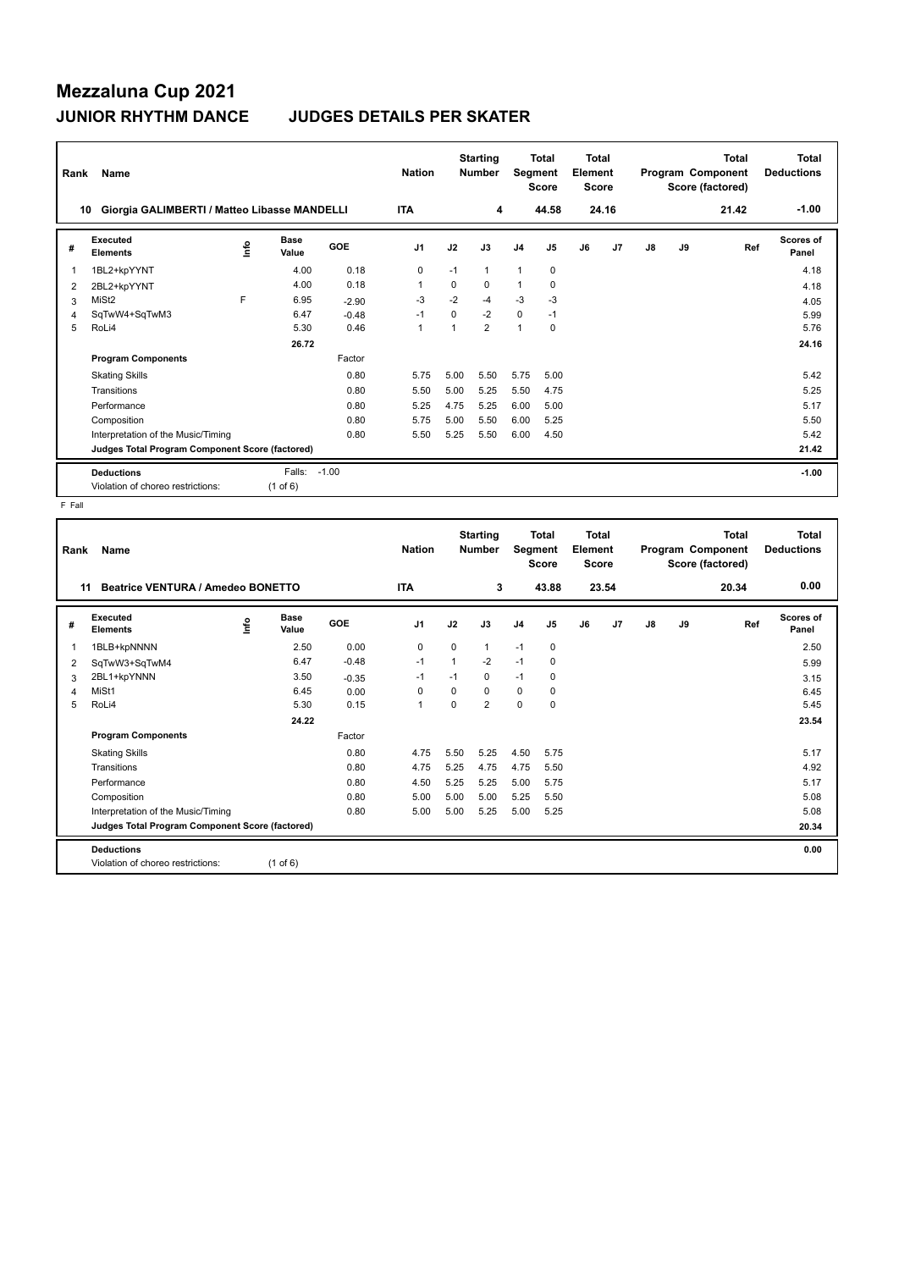## **Mezzaluna Cup 2021 JUNIOR RHYTHM DANCE JUDGES DETAILS PER SKATER**

| Rank | Name                                            |    |               |            | <b>Nation</b>  |          | <b>Starting</b><br><b>Number</b> | Segment        | <b>Total</b><br><b>Score</b> | <b>Total</b><br>Element<br><b>Score</b> |       |    |    | <b>Total</b><br>Program Component<br>Score (factored) | Total<br><b>Deductions</b> |
|------|-------------------------------------------------|----|---------------|------------|----------------|----------|----------------------------------|----------------|------------------------------|-----------------------------------------|-------|----|----|-------------------------------------------------------|----------------------------|
| 10   | Giorgia GALIMBERTI / Matteo Libasse MANDELLI    |    |               |            | <b>ITA</b>     |          | 4                                |                | 44.58                        |                                         | 24.16 |    |    | 21.42                                                 | $-1.00$                    |
| #    | Executed<br><b>Elements</b>                     | ۴ů | Base<br>Value | <b>GOE</b> | J <sub>1</sub> | J2       | J3                               | J <sub>4</sub> | J <sub>5</sub>               | J6                                      | J7    | J8 | J9 | Ref                                                   | Scores of<br>Panel         |
| 1    | 1BL2+kpYYNT                                     |    | 4.00          | 0.18       | 0              | $-1$     | 1                                | $\mathbf{1}$   | $\mathbf 0$                  |                                         |       |    |    |                                                       | 4.18                       |
| 2    | 2BL2+kpYYNT                                     |    | 4.00          | 0.18       | 1              | $\Omega$ | $\Omega$                         | 1              | 0                            |                                         |       |    |    |                                                       | 4.18                       |
| 3    | MiSt <sub>2</sub>                               | F  | 6.95          | $-2.90$    | $-3$           | $-2$     | $-4$                             | $-3$           | $-3$                         |                                         |       |    |    |                                                       | 4.05                       |
| 4    | SqTwW4+SqTwM3                                   |    | 6.47          | $-0.48$    | $-1$           | $\Omega$ | $-2$                             | $\mathbf 0$    | $-1$                         |                                         |       |    |    |                                                       | 5.99                       |
| 5    | RoLi4                                           |    | 5.30          | 0.46       | 1              |          | $\overline{2}$                   | $\overline{1}$ | 0                            |                                         |       |    |    |                                                       | 5.76                       |
|      |                                                 |    | 26.72         |            |                |          |                                  |                |                              |                                         |       |    |    |                                                       | 24.16                      |
|      | <b>Program Components</b>                       |    |               | Factor     |                |          |                                  |                |                              |                                         |       |    |    |                                                       |                            |
|      | <b>Skating Skills</b>                           |    |               | 0.80       | 5.75           | 5.00     | 5.50                             | 5.75           | 5.00                         |                                         |       |    |    |                                                       | 5.42                       |
|      | Transitions                                     |    |               | 0.80       | 5.50           | 5.00     | 5.25                             | 5.50           | 4.75                         |                                         |       |    |    |                                                       | 5.25                       |
|      | Performance                                     |    |               | 0.80       | 5.25           | 4.75     | 5.25                             | 6.00           | 5.00                         |                                         |       |    |    |                                                       | 5.17                       |
|      | Composition                                     |    |               | 0.80       | 5.75           | 5.00     | 5.50                             | 6.00           | 5.25                         |                                         |       |    |    |                                                       | 5.50                       |
|      | Interpretation of the Music/Timing              |    |               | 0.80       | 5.50           | 5.25     | 5.50                             | 6.00           | 4.50                         |                                         |       |    |    |                                                       | 5.42                       |
|      | Judges Total Program Component Score (factored) |    |               |            |                |          |                                  |                |                              |                                         |       |    |    |                                                       | 21.42                      |
|      | <b>Deductions</b>                               |    | Falls:        | $-1.00$    |                |          |                                  |                |                              |                                         |       |    |    |                                                       | $-1.00$                    |
|      | Violation of choreo restrictions:               |    | (1 of 6)      |            |                |          |                                  |                |                              |                                         |       |    |    |                                                       |                            |

F Fall

| Name                               |            |                      |                                                                                                    | <b>Nation</b>  |              |                |                                       |                |                                                  |    |                                           |    | Total | Total<br><b>Deductions</b>                   |
|------------------------------------|------------|----------------------|----------------------------------------------------------------------------------------------------|----------------|--------------|----------------|---------------------------------------|----------------|--------------------------------------------------|----|-------------------------------------------|----|-------|----------------------------------------------|
|                                    |            |                      |                                                                                                    | <b>ITA</b>     |              |                |                                       |                |                                                  |    |                                           |    | 20.34 | 0.00                                         |
| Executed<br><b>Elements</b>        | ۴Ů         | <b>Base</b><br>Value | GOE                                                                                                | J <sub>1</sub> | J2           | J3             | J <sub>4</sub>                        | J <sub>5</sub> | J6                                               | J7 | J8                                        | J9 |       | <b>Scores of</b><br>Panel                    |
| 1BLB+kpNNNN                        |            | 2.50                 | 0.00                                                                                               | 0              | $\Omega$     | 1              | $-1$                                  | $\mathbf 0$    |                                                  |    |                                           |    |       | 2.50                                         |
| SqTwW3+SqTwM4                      |            | 6.47                 | $-0.48$                                                                                            | $-1$           | $\mathbf{1}$ | $-2$           | $-1$                                  | 0              |                                                  |    |                                           |    |       | 5.99                                         |
| 2BL1+kpYNNN                        |            | 3.50                 | $-0.35$                                                                                            | $-1$           | $-1$         | $\mathbf 0$    | $-1$                                  | 0              |                                                  |    |                                           |    |       | 3.15                                         |
| MiSt1                              |            | 6.45                 | 0.00                                                                                               | $\Omega$       | $\Omega$     | $\Omega$       | 0                                     | 0              |                                                  |    |                                           |    |       | 6.45                                         |
| RoLi4                              |            | 5.30                 | 0.15                                                                                               | 1              | 0            | $\overline{2}$ | $\mathbf 0$                           | $\mathbf 0$    |                                                  |    |                                           |    |       | 5.45                                         |
|                                    |            | 24.22                |                                                                                                    |                |              |                |                                       |                |                                                  |    |                                           |    |       | 23.54                                        |
| <b>Program Components</b>          |            |                      | Factor                                                                                             |                |              |                |                                       |                |                                                  |    |                                           |    |       |                                              |
| <b>Skating Skills</b>              |            |                      | 0.80                                                                                               | 4.75           | 5.50         | 5.25           | 4.50                                  | 5.75           |                                                  |    |                                           |    |       | 5.17                                         |
| Transitions                        |            |                      | 0.80                                                                                               | 4.75           | 5.25         | 4.75           | 4.75                                  | 5.50           |                                                  |    |                                           |    |       | 4.92                                         |
| Performance                        |            |                      | 0.80                                                                                               | 4.50           | 5.25         | 5.25           | 5.00                                  | 5.75           |                                                  |    |                                           |    |       | 5.17                                         |
| Composition                        |            |                      | 0.80                                                                                               | 5.00           | 5.00         | 5.00           | 5.25                                  | 5.50           |                                                  |    |                                           |    |       | 5.08                                         |
| Interpretation of the Music/Timing |            |                      | 0.80                                                                                               | 5.00           | 5.00         | 5.25           | 5.00                                  | 5.25           |                                                  |    |                                           |    |       | 5.08                                         |
|                                    |            |                      |                                                                                                    |                |              |                |                                       |                |                                                  |    |                                           |    |       | 20.34                                        |
| <b>Deductions</b>                  |            |                      |                                                                                                    |                |              |                |                                       |                |                                                  |    |                                           |    |       | 0.00                                         |
| Violation of choreo restrictions:  |            |                      |                                                                                                    |                |              |                |                                       |                |                                                  |    |                                           |    |       |                                              |
|                                    | Rank<br>11 |                      | Beatrice VENTURA / Amedeo BONETTO<br>Judges Total Program Component Score (factored)<br>$(1$ of 6) |                |              |                | <b>Starting</b><br><b>Number</b><br>3 |                | <b>Total</b><br>Segment<br><b>Score</b><br>43.88 |    | Total<br>Element<br><b>Score</b><br>23.54 |    |       | Program Component<br>Score (factored)<br>Ref |